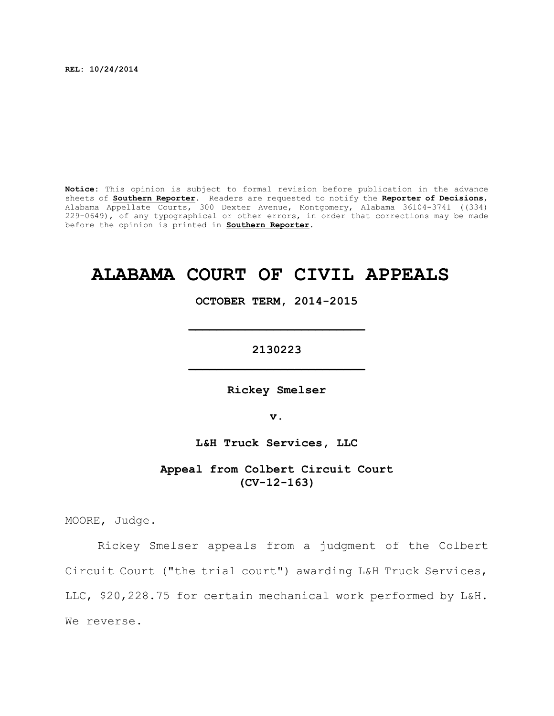**REL: 10/24/2014**

**Notice:** This opinion is subject to formal revision before publication in the advance sheets of **Southern Reporter**. Readers are requested to notify the **Reporter of Decisions**, Alabama Appellate Courts, 300 Dexter Avenue, Montgomery, Alabama 36104-3741 ((334) 229-0649), of any typographical or other errors, in order that corrections may be made before the opinion is printed in **Southern Reporter**.

# **ALABAMA COURT OF CIVIL APPEALS**

**OCTOBER TERM, 2014-2015**

**\_\_\_\_\_\_\_\_\_\_\_\_\_\_\_\_\_\_\_\_\_\_\_\_\_**

**2130223 \_\_\_\_\_\_\_\_\_\_\_\_\_\_\_\_\_\_\_\_\_\_\_\_\_**

**Rickey Smelser**

**v.**

**L&H Truck Services, LLC**

**Appeal from Colbert Circuit Court (CV-12-163)**

MOORE, Judge.

Rickey Smelser appeals from a judgment of the Colbert Circuit Court ("the trial court") awarding L&H Truck Services, LLC, \$20,228.75 for certain mechanical work performed by L&H. We reverse.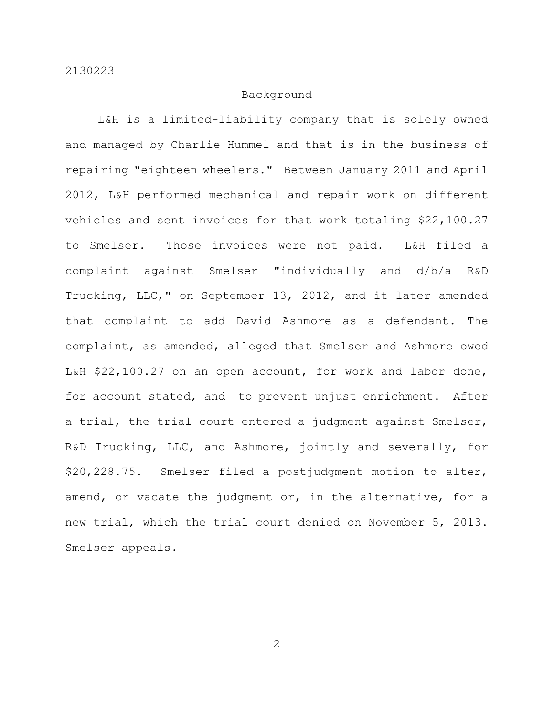#### Background

L&H is a limited-liability company that is solely owned and managed by Charlie Hummel and that is in the business of repairing "eighteen wheelers." Between January 2011 and April 2012, L&H performed mechanical and repair work on different vehicles and sent invoices for that work totaling \$22,100.27 to Smelser. Those invoices were not paid. L&H filed a complaint against Smelser "individually and d/b/a R&D Trucking, LLC," on September 13, 2012, and it later amended that complaint to add David Ashmore as a defendant. The complaint, as amended, alleged that Smelser and Ashmore owed L&H \$22,100.27 on an open account, for work and labor done, for account stated, and to prevent unjust enrichment. After a trial, the trial court entered a judgment against Smelser, R&D Trucking, LLC, and Ashmore, jointly and severally, for \$20,228.75. Smelser filed a postjudgment motion to alter, amend, or vacate the judgment or, in the alternative, for a new trial, which the trial court denied on November 5, 2013. Smelser appeals.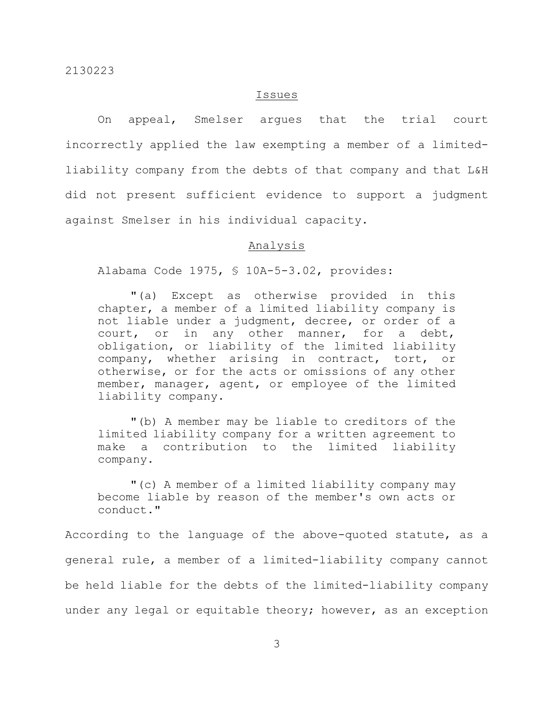#### Issues

On appeal, Smelser argues that the trial court incorrectly applied the law exempting a member of a limitedliability company from the debts of that company and that L&H did not present sufficient evidence to support a judgment against Smelser in his individual capacity.

## Analysis

Alabama Code 1975, § 10A-5-3.02, provides:

"(a) Except as otherwise provided in this chapter, a member of a limited liability company is not liable under a judgment, decree, or order of a court, or in any other manner, for a debt, obligation, or liability of the limited liability company, whether arising in contract, tort, or otherwise, or for the acts or omissions of any other member, manager, agent, or employee of the limited liability company.

"(b) A member may be liable to creditors of the limited liability company for a written agreement to make a contribution to the limited liability company.

"(c) A member of a limited liability company may become liable by reason of the member's own acts or conduct."

According to the language of the above-quoted statute, as a general rule, a member of a limited-liability company cannot be held liable for the debts of the limited-liability company under any legal or equitable theory; however, as an exception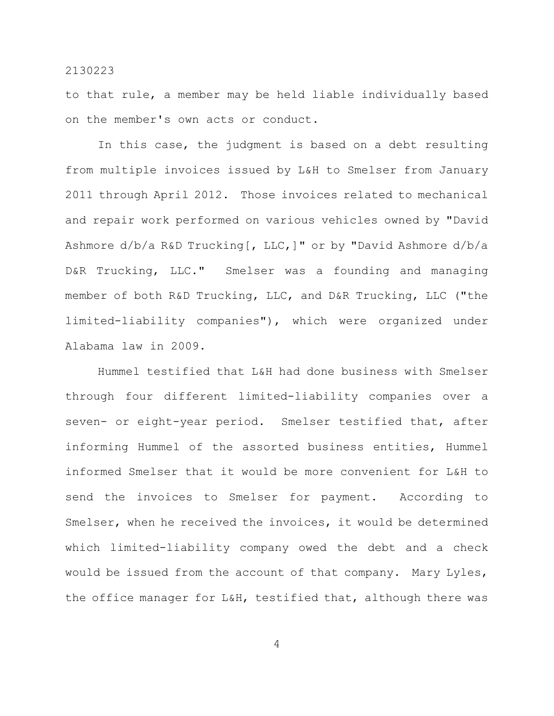to that rule, a member may be held liable individually based on the member's own acts or conduct.

In this case, the judgment is based on a debt resulting from multiple invoices issued by L&H to Smelser from January 2011 through April 2012. Those invoices related to mechanical and repair work performed on various vehicles owned by "David Ashmore d/b/a R&D Trucking[, LLC,]" or by "David Ashmore d/b/a D&R Trucking, LLC." Smelser was a founding and managing member of both R&D Trucking, LLC, and D&R Trucking, LLC ("the limited-liability companies"), which were organized under Alabama law in 2009.

Hummel testified that L&H had done business with Smelser through four different limited-liability companies over a seven- or eight-year period. Smelser testified that, after informing Hummel of the assorted business entities, Hummel informed Smelser that it would be more convenient for L&H to send the invoices to Smelser for payment. According to Smelser, when he received the invoices, it would be determined which limited-liability company owed the debt and a check would be issued from the account of that company. Mary Lyles, the office manager for L&H, testified that, although there was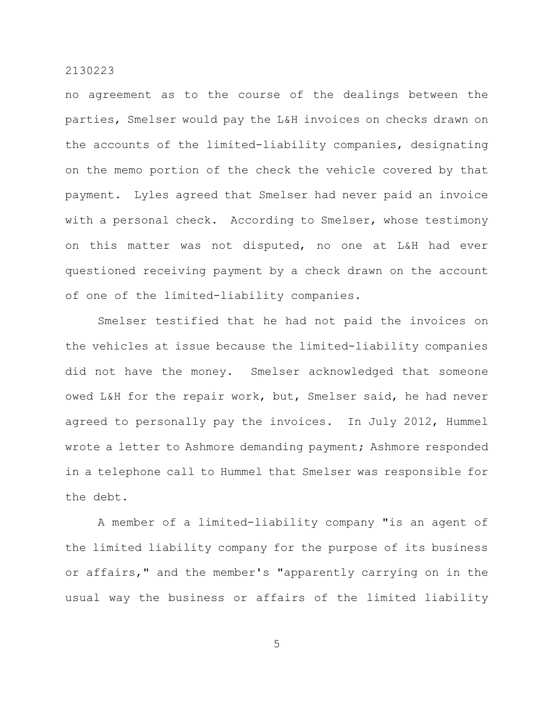no agreement as to the course of the dealings between the parties, Smelser would pay the L&H invoices on checks drawn on the accounts of the limited-liability companies, designating on the memo portion of the check the vehicle covered by that payment. Lyles agreed that Smelser had never paid an invoice with a personal check. According to Smelser, whose testimony on this matter was not disputed, no one at L&H had ever questioned receiving payment by a check drawn on the account of one of the limited-liability companies.

Smelser testified that he had not paid the invoices on the vehicles at issue because the limited-liability companies did not have the money. Smelser acknowledged that someone owed L&H for the repair work, but, Smelser said, he had never agreed to personally pay the invoices. In July 2012, Hummel wrote a letter to Ashmore demanding payment; Ashmore responded in a telephone call to Hummel that Smelser was responsible for the debt.

A member of a limited-liability company "is an agent of the limited liability company for the purpose of its business or affairs," and the member's "apparently carrying on in the usual way the business or affairs of the limited liability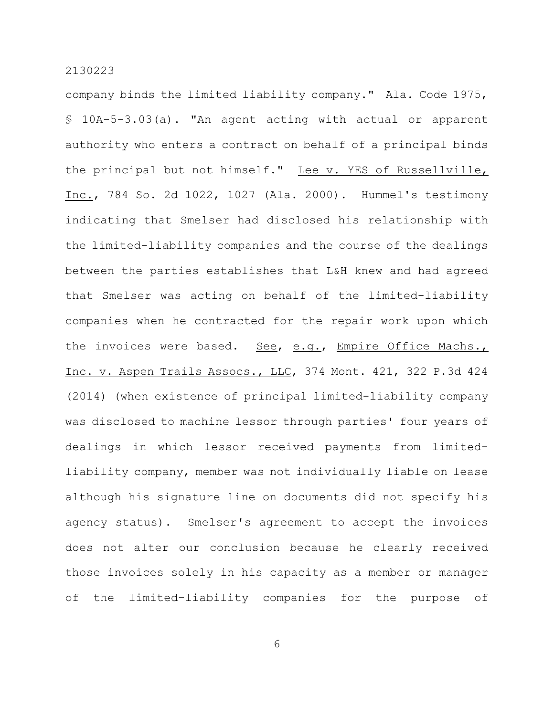company binds the limited liability company." Ala. Code 1975, § 10A-5-3.03(a). "An agent acting with actual or apparent authority who enters a contract on behalf of a principal binds the principal but not himself." Lee v. YES of Russellville, Inc., 784 So. 2d 1022, 1027 (Ala. 2000). Hummel's testimony indicating that Smelser had disclosed his relationship with the limited-liability companies and the course of the dealings between the parties establishes that L&H knew and had agreed that Smelser was acting on behalf of the limited-liability companies when he contracted for the repair work upon which the invoices were based. See, e.g., Empire Office Machs., Inc. v. Aspen Trails Assocs., LLC, 374 Mont. 421, 322 P.3d 424 (2014) (when existence of principal limited-liability company was disclosed to machine lessor through parties' four years of dealings in which lessor received payments from limitedliability company, member was not individually liable on lease although his signature line on documents did not specify his agency status). Smelser's agreement to accept the invoices does not alter our conclusion because he clearly received those invoices solely in his capacity as a member or manager of the limited-liability companies for the purpose of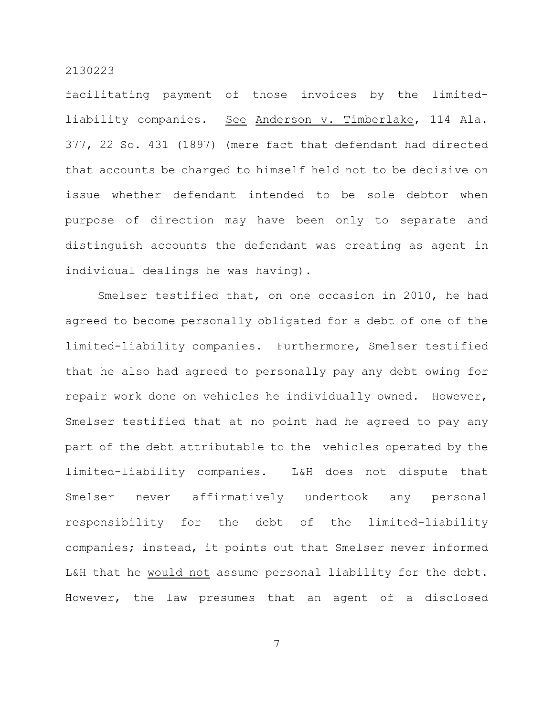facilitating payment of those invoices by the limitedliability companies. See Anderson v. Timberlake, 114 Ala. 377, 22 So. 431 (1897) (mere fact that defendant had directed that accounts be charged to himself held not to be decisive on issue whether defendant intended to be sole debtor when purpose of direction may have been only to separate and distinguish accounts the defendant was creating as agent in individual dealings he was having).

Smelser testified that, on one occasion in 2010, he had agreed to become personally obligated for a debt of one of the limited-liability companies. Furthermore, Smelser testified that he also had agreed to personally pay any debt owing for repair work done on vehicles he individually owned. However, Smelser testified that at no point had he agreed to pay any part of the debt attributable to the vehicles operated by the limited-liability companies. L&H does not dispute that Smelser never affirmatively undertook any personal responsibility for the debt of the limited-liability companies; instead, it points out that Smelser never informed L&H that he would not assume personal liability for the debt. However, the law presumes that an agent of a disclosed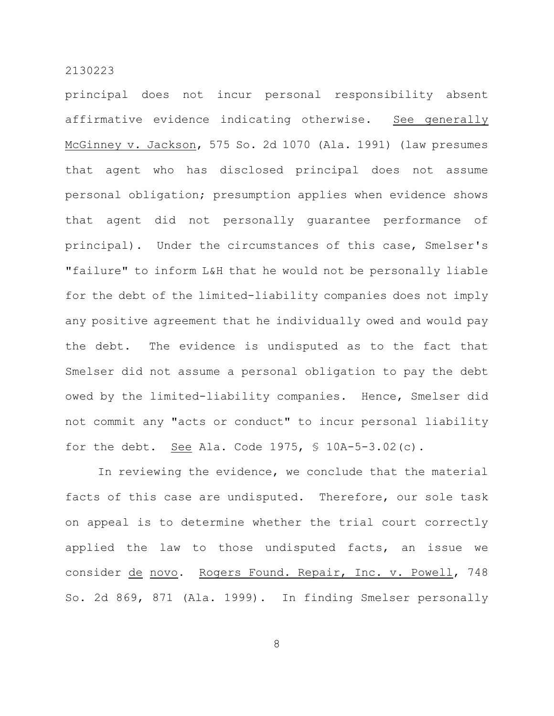principal does not incur personal responsibility absent affirmative evidence indicating otherwise. See generally McGinney v. Jackson, 575 So. 2d 1070 (Ala. 1991) (law presumes that agent who has disclosed principal does not assume personal obligation; presumption applies when evidence shows that agent did not personally guarantee performance of principal). Under the circumstances of this case, Smelser's "failure" to inform L&H that he would not be personally liable for the debt of the limited-liability companies does not imply any positive agreement that he individually owed and would pay the debt. The evidence is undisputed as to the fact that Smelser did not assume a personal obligation to pay the debt owed by the limited-liability companies. Hence, Smelser did not commit any "acts or conduct" to incur personal liability for the debt. See Ala. Code 1975,  $\frac{1}{2}$  10A-5-3.02(c).

In reviewing the evidence, we conclude that the material facts of this case are undisputed. Therefore, our sole task on appeal is to determine whether the trial court correctly applied the law to those undisputed facts, an issue we consider de novo. Rogers Found. Repair, Inc. v. Powell, 748 So. 2d 869, 871 (Ala. 1999). In finding Smelser personally